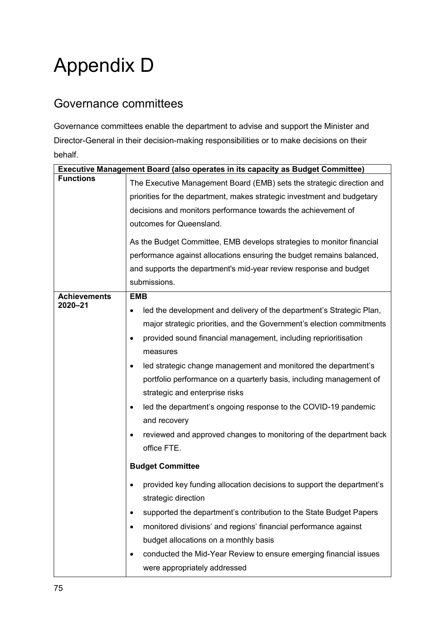## Appendix D

## Governance committees

Governance committees enable the department to advise and support the Minister and Director-General in their decision-making responsibilities or to make decisions on their behalf.

|                     | <b>Executive Management Board (also operates in its capacity as Budget Committee)</b>                                                                                        |
|---------------------|------------------------------------------------------------------------------------------------------------------------------------------------------------------------------|
| <b>Functions</b>    | The Executive Management Board (EMB) sets the strategic direction and                                                                                                        |
|                     | priorities for the department, makes strategic investment and budgetary                                                                                                      |
|                     | decisions and monitors performance towards the achievement of                                                                                                                |
|                     | outcomes for Queensland.                                                                                                                                                     |
|                     | As the Budget Committee, EMB develops strategies to monitor financial<br>performance against allocations ensuring the budget remains balanced,                               |
|                     | and supports the department's mid-year review response and budget                                                                                                            |
|                     | submissions.                                                                                                                                                                 |
| <b>Achievements</b> | <b>EMB</b>                                                                                                                                                                   |
| 2020-21             | led the development and delivery of the department's Strategic Plan,<br>major strategic priorities, and the Government's election commitments                                |
|                     | provided sound financial management, including reprioritisation                                                                                                              |
|                     | measures                                                                                                                                                                     |
|                     | led strategic change management and monitored the department's<br>٠<br>portfolio performance on a quarterly basis, including management of<br>strategic and enterprise risks |
|                     | led the department's ongoing response to the COVID-19 pandemic<br>$\bullet$<br>and recovery                                                                                  |
|                     | reviewed and approved changes to monitoring of the department back<br>office FTE.                                                                                            |
|                     | <b>Budget Committee</b>                                                                                                                                                      |
|                     | provided key funding allocation decisions to support the department's<br>strategic direction                                                                                 |
|                     | supported the department's contribution to the State Budget Papers                                                                                                           |
|                     | monitored divisions' and regions' financial performance against                                                                                                              |
|                     | budget allocations on a monthly basis                                                                                                                                        |
|                     | conducted the Mid-Year Review to ensure emerging financial issues                                                                                                            |
|                     | were appropriately addressed                                                                                                                                                 |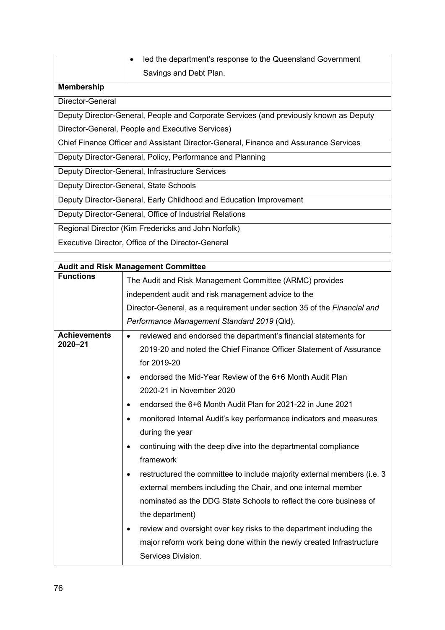|  | $\bullet$ led the department's response to the Queensland Government |
|--|----------------------------------------------------------------------|
|  | Savings and Debt Plan.                                               |

## **Membership**

Director-General

Deputy Director-General, People and Corporate Services (and previously known as Deputy

Director-General, People and Executive Services)

Chief Finance Officer and Assistant Director-General, Finance and Assurance Services

Deputy Director-General, Policy, Performance and Planning

Deputy Director-General, Infrastructure Services

Deputy Director-General, State Schools

Deputy Director-General, Early Childhood and Education Improvement

Deputy Director-General, Office of Industrial Relations

Regional Director (Kim Fredericks and John Norfolk)

Executive Director, Office of the Director-General

|                     | <b>Audit and Risk Management Committee</b>                                           |  |
|---------------------|--------------------------------------------------------------------------------------|--|
| <b>Functions</b>    | The Audit and Risk Management Committee (ARMC) provides                              |  |
|                     | independent audit and risk management advice to the                                  |  |
|                     | Director-General, as a requirement under section 35 of the Financial and             |  |
|                     | Performance Management Standard 2019 (Qld).                                          |  |
| <b>Achievements</b> | reviewed and endorsed the department's financial statements for<br>$\bullet$         |  |
| 2020-21             | 2019-20 and noted the Chief Finance Officer Statement of Assurance                   |  |
|                     | for 2019-20                                                                          |  |
|                     | endorsed the Mid-Year Review of the 6+6 Month Audit Plan<br>$\bullet$                |  |
|                     | 2020-21 in November 2020                                                             |  |
|                     | endorsed the 6+6 Month Audit Plan for 2021-22 in June 2021<br>$\bullet$              |  |
|                     | monitored Internal Audit's key performance indicators and measures<br>$\bullet$      |  |
|                     | during the year                                                                      |  |
|                     | continuing with the deep dive into the departmental compliance<br>$\bullet$          |  |
|                     | framework                                                                            |  |
|                     | restructured the committee to include majority external members (i.e. 3<br>$\bullet$ |  |
|                     | external members including the Chair, and one internal member                        |  |
|                     | nominated as the DDG State Schools to reflect the core business of                   |  |
|                     | the department)                                                                      |  |
|                     | review and oversight over key risks to the department including the<br>$\bullet$     |  |
|                     | major reform work being done within the newly created Infrastructure                 |  |
|                     | Services Division.                                                                   |  |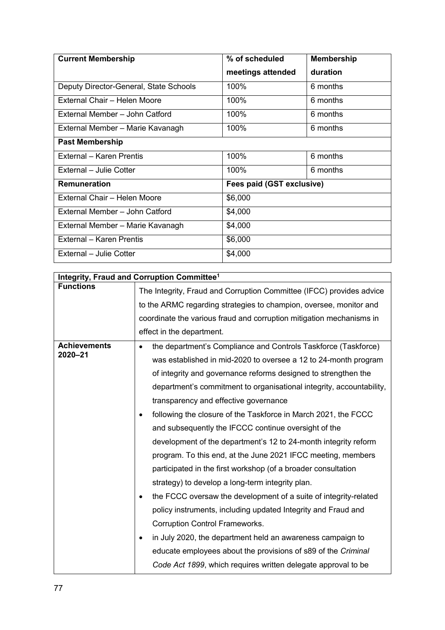| <b>Current Membership</b>              | % of scheduled            | <b>Membership</b> |
|----------------------------------------|---------------------------|-------------------|
|                                        | meetings attended         | duration          |
| Deputy Director-General, State Schools | 100%                      | 6 months          |
| External Chair - Helen Moore           | 100%                      | 6 months          |
| External Member - John Catford         | 100%                      | 6 months          |
| External Member - Marie Kavanagh       | 100%                      | 6 months          |
| <b>Past Membership</b>                 |                           |                   |
| External - Karen Prentis               | 100%                      | 6 months          |
| External - Julie Cotter                | 100%                      | 6 months          |
| <b>Remuneration</b>                    | Fees paid (GST exclusive) |                   |
| External Chair - Helen Moore           | \$6,000                   |                   |
| External Member - John Catford         | \$4,000                   |                   |
| External Member - Marie Kavanagh       | \$4,000                   |                   |
| External - Karen Prentis               | \$6,000                   |                   |
| External - Julie Cotter                | \$4,000                   |                   |

| Integrity, Fraud and Corruption Committee <sup>1</sup> |                                                                             |  |
|--------------------------------------------------------|-----------------------------------------------------------------------------|--|
| <b>Functions</b>                                       | The Integrity, Fraud and Corruption Committee (IFCC) provides advice        |  |
|                                                        | to the ARMC regarding strategies to champion, oversee, monitor and          |  |
|                                                        | coordinate the various fraud and corruption mitigation mechanisms in        |  |
|                                                        | effect in the department.                                                   |  |
| <b>Achievements</b>                                    | the department's Compliance and Controls Taskforce (Taskforce)<br>$\bullet$ |  |
| 2020-21                                                | was established in mid-2020 to oversee a 12 to 24-month program             |  |
|                                                        | of integrity and governance reforms designed to strengthen the              |  |
|                                                        | department's commitment to organisational integrity, accountability,        |  |
|                                                        | transparency and effective governance                                       |  |
|                                                        | following the closure of the Taskforce in March 2021, the FCCC<br>$\bullet$ |  |
|                                                        | and subsequently the IFCCC continue oversight of the                        |  |
|                                                        | development of the department's 12 to 24-month integrity reform             |  |
|                                                        | program. To this end, at the June 2021 IFCC meeting, members                |  |
|                                                        | participated in the first workshop (of a broader consultation               |  |
|                                                        | strategy) to develop a long-term integrity plan.                            |  |
|                                                        | the FCCC oversaw the development of a suite of integrity-related            |  |
|                                                        | policy instruments, including updated Integrity and Fraud and               |  |
|                                                        | <b>Corruption Control Frameworks.</b>                                       |  |
|                                                        | in July 2020, the department held an awareness campaign to<br>٠             |  |
|                                                        | educate employees about the provisions of s89 of the Criminal               |  |
|                                                        | Code Act 1899, which requires written delegate approval to be               |  |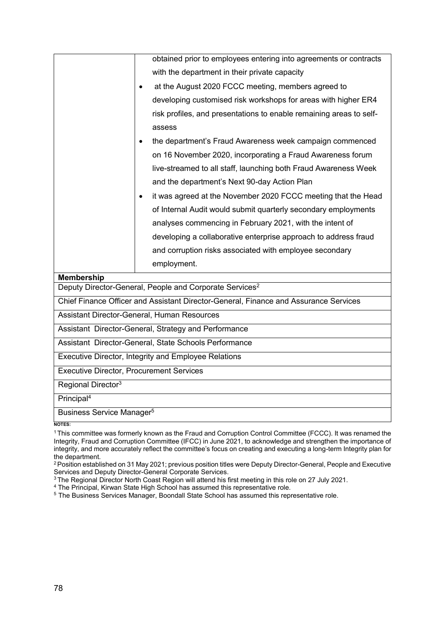|                                                       | obtained prior to employees entering into agreements or contracts                    |  |
|-------------------------------------------------------|--------------------------------------------------------------------------------------|--|
|                                                       | with the department in their private capacity                                        |  |
|                                                       | at the August 2020 FCCC meeting, members agreed to                                   |  |
|                                                       | developing customised risk workshops for areas with higher ER4                       |  |
|                                                       | risk profiles, and presentations to enable remaining areas to self-                  |  |
|                                                       | assess                                                                               |  |
|                                                       | the department's Fraud Awareness week campaign commenced                             |  |
|                                                       | on 16 November 2020, incorporating a Fraud Awareness forum                           |  |
|                                                       | live-streamed to all staff, launching both Fraud Awareness Week                      |  |
|                                                       | and the department's Next 90-day Action Plan                                         |  |
|                                                       | it was agreed at the November 2020 FCCC meeting that the Head                        |  |
|                                                       | of Internal Audit would submit quarterly secondary employments                       |  |
|                                                       | analyses commencing in February 2021, with the intent of                             |  |
|                                                       | developing a collaborative enterprise approach to address fraud                      |  |
|                                                       | and corruption risks associated with employee secondary                              |  |
|                                                       | employment.                                                                          |  |
| <b>Membership</b>                                     |                                                                                      |  |
|                                                       | Deputy Director-General, People and Corporate Services <sup>2</sup>                  |  |
|                                                       | Chief Finance Officer and Assistant Director-General, Finance and Assurance Services |  |
|                                                       | Assistant Director-General, Human Resources                                          |  |
| Assistant Director-General, Strategy and Performance  |                                                                                      |  |
| Assistant Director-General, State Schools Performance |                                                                                      |  |
| Executive Director, Integrity and Employee Relations  |                                                                                      |  |
| <b>Executive Director, Procurement Services</b>       |                                                                                      |  |
| Regional Director <sup>3</sup>                        |                                                                                      |  |
| Principal <sup>4</sup>                                |                                                                                      |  |
| Business Service Manager <sup>5</sup>                 |                                                                                      |  |
| <b>NOTES:</b>                                         |                                                                                      |  |

<sup>1</sup>This committee was formerly known as the Fraud and Corruption Control Committee (FCCC). It was renamed the Integrity, Fraud and Corruption Committee (IFCC) in June 2021, to acknowledge and strengthen the importance of integrity, and more accurately reflect the committee's focus on creating and executing a long-term Integrity plan for the department.

<sup>2</sup> Position established on 31 May 2021; previous position titles were Deputy Director-General, People and Executive Services and Deputy Director-General Corporate Services.

<sup>3</sup> The Regional Director North Coast Region will attend his first meeting in this role on 27 July 2021.

<sup>4</sup> The Principal, Kirwan State High School has assumed this representative role.

<sup>5</sup> The Business Services Manager, Boondall State School has assumed this representative role.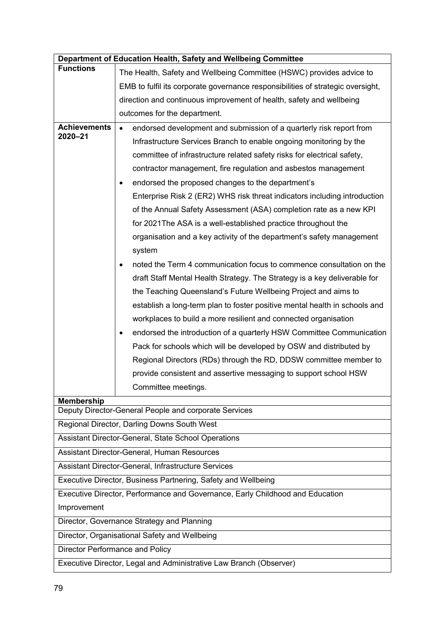|                                                                    | Department of Education Health, Safety and Wellbeing Committee                  |  |
|--------------------------------------------------------------------|---------------------------------------------------------------------------------|--|
| <b>Functions</b>                                                   | The Health, Safety and Wellbeing Committee (HSWC) provides advice to            |  |
|                                                                    | EMB to fulfil its corporate governance responsibilities of strategic oversight, |  |
|                                                                    | direction and continuous improvement of health, safety and wellbeing            |  |
|                                                                    | outcomes for the department.                                                    |  |
| <b>Achievements</b>                                                | endorsed development and submission of a quarterly risk report from             |  |
| 2020-21                                                            | Infrastructure Services Branch to enable ongoing monitoring by the              |  |
|                                                                    | committee of infrastructure related safety risks for electrical safety,         |  |
|                                                                    | contractor management, fire regulation and asbestos management                  |  |
|                                                                    | endorsed the proposed changes to the department's                               |  |
|                                                                    | Enterprise Risk 2 (ER2) WHS risk threat indicators including introduction       |  |
|                                                                    | of the Annual Safety Assessment (ASA) completion rate as a new KPI              |  |
|                                                                    | for 2021 The ASA is a well-established practice throughout the                  |  |
|                                                                    | organisation and a key activity of the department's safety management           |  |
|                                                                    | system                                                                          |  |
|                                                                    | noted the Term 4 communication focus to commence consultation on the            |  |
|                                                                    | draft Staff Mental Health Strategy. The Strategy is a key deliverable for       |  |
|                                                                    | the Teaching Queensland's Future Wellbeing Project and aims to                  |  |
|                                                                    | establish a long-term plan to foster positive mental health in schools and      |  |
|                                                                    | workplaces to build a more resilient and connected organisation                 |  |
|                                                                    | endorsed the introduction of a quarterly HSW Committee Communication<br>٠       |  |
|                                                                    | Pack for schools which will be developed by OSW and distributed by              |  |
|                                                                    | Regional Directors (RDs) through the RD, DDSW committee member to               |  |
|                                                                    | provide consistent and assertive messaging to support school HSW                |  |
|                                                                    | Committee meetings.                                                             |  |
| <b>Membership</b>                                                  |                                                                                 |  |
| Deputy Director-General People and corporate Services              |                                                                                 |  |
|                                                                    | Regional Director, Darling Downs South West                                     |  |
| Assistant Director-General, State School Operations                |                                                                                 |  |
|                                                                    | Assistant Director-General, Human Resources                                     |  |
| Assistant Director-General, Infrastructure Services                |                                                                                 |  |
| Executive Director, Business Partnering, Safety and Wellbeing      |                                                                                 |  |
|                                                                    | Executive Director, Performance and Governance, Early Childhood and Education   |  |
| Improvement                                                        |                                                                                 |  |
|                                                                    | Director, Governance Strategy and Planning                                      |  |
|                                                                    | Director, Organisational Safety and Wellbeing                                   |  |
| Director Performance and Policy                                    |                                                                                 |  |
| Executive Director, Legal and Administrative Law Branch (Observer) |                                                                                 |  |
|                                                                    |                                                                                 |  |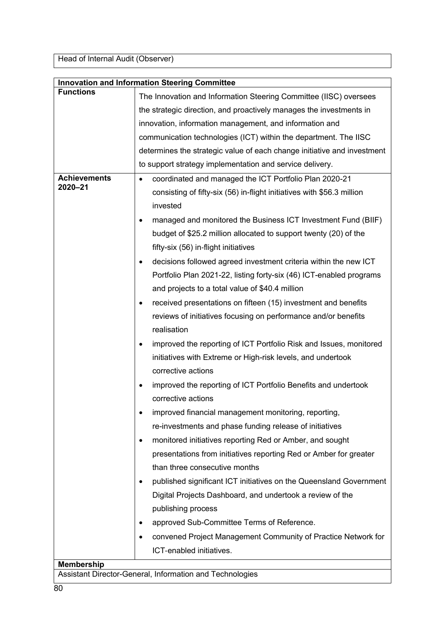Head of Internal Audit (Observer)

|                     | <b>Innovation and Information Steering Committee</b>                            |
|---------------------|---------------------------------------------------------------------------------|
| <b>Functions</b>    | The Innovation and Information Steering Committee (IISC) oversees               |
|                     | the strategic direction, and proactively manages the investments in             |
|                     | innovation, information management, and information and                         |
|                     | communication technologies (ICT) within the department. The IISC                |
|                     | determines the strategic value of each change initiative and investment         |
|                     | to support strategy implementation and service delivery.                        |
| <b>Achievements</b> | coordinated and managed the ICT Portfolio Plan 2020-21<br>$\bullet$             |
| 2020-21             | consisting of fifty-six (56) in-flight initiatives with \$56.3 million          |
|                     | invested                                                                        |
|                     | managed and monitored the Business ICT Investment Fund (BIIF)<br>$\bullet$      |
|                     | budget of \$25.2 million allocated to support twenty (20) of the                |
|                     | fifty-six (56) in-flight initiatives                                            |
|                     | decisions followed agreed investment criteria within the new ICT<br>$\bullet$   |
|                     | Portfolio Plan 2021-22, listing forty-six (46) ICT-enabled programs             |
|                     | and projects to a total value of \$40.4 million                                 |
|                     | received presentations on fifteen (15) investment and benefits<br>٠             |
|                     | reviews of initiatives focusing on performance and/or benefits                  |
|                     | realisation                                                                     |
|                     | improved the reporting of ICT Portfolio Risk and Issues, monitored<br>$\bullet$ |
|                     | initiatives with Extreme or High-risk levels, and undertook                     |
|                     | corrective actions                                                              |
|                     | improved the reporting of ICT Portfolio Benefits and undertook<br>٠             |
|                     | corrective actions                                                              |
|                     | improved financial management monitoring, reporting,                            |
|                     | re-investments and phase funding release of initiatives                         |
|                     | monitored initiatives reporting Red or Amber, and sought<br>٠                   |
|                     | presentations from initiatives reporting Red or Amber for greater               |
|                     | than three consecutive months                                                   |
|                     | published significant ICT initiatives on the Queensland Government<br>$\bullet$ |
|                     | Digital Projects Dashboard, and undertook a review of the                       |
|                     | publishing process                                                              |
|                     | approved Sub-Committee Terms of Reference.                                      |
|                     | convened Project Management Community of Practice Network for                   |
|                     | ICT-enabled initiatives.                                                        |
| <b>Membership</b>   |                                                                                 |
|                     | Assistant Director-General, Information and Technologies                        |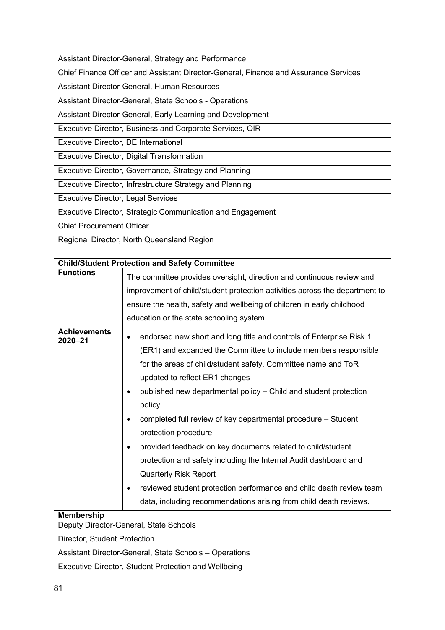Assistant Director-General, Strategy and Performance

Chief Finance Officer and Assistant Director-General, Finance and Assurance Services

Assistant Director-General, Human Resources

Assistant Director-General, State Schools - Operations

Assistant Director-General, Early Learning and Development

Executive Director, Business and Corporate Services, OIR

Executive Director, DE International

Executive Director, Digital Transformation

Executive Director, Governance, Strategy and Planning

Executive Director, Infrastructure Strategy and Planning

Executive Director, Legal Services

Executive Director, Strategic Communication and Engagement

Chief Procurement Officer

Regional Director, North Queensland Region

| <b>Child/Student Protection and Safety Committee</b>   |                                                                                                                                                                                                                                                                                                                                                                                                                                                                                                                                                                                                                                                                                                                                                                |  |
|--------------------------------------------------------|----------------------------------------------------------------------------------------------------------------------------------------------------------------------------------------------------------------------------------------------------------------------------------------------------------------------------------------------------------------------------------------------------------------------------------------------------------------------------------------------------------------------------------------------------------------------------------------------------------------------------------------------------------------------------------------------------------------------------------------------------------------|--|
| <b>Functions</b>                                       | The committee provides oversight, direction and continuous review and<br>improvement of child/student protection activities across the department to<br>ensure the health, safety and wellbeing of children in early childhood<br>education or the state schooling system.                                                                                                                                                                                                                                                                                                                                                                                                                                                                                     |  |
| <b>Achievements</b><br>2020-21                         | endorsed new short and long title and controls of Enterprise Risk 1<br>$\bullet$<br>(ER1) and expanded the Committee to include members responsible<br>for the areas of child/student safety. Committee name and ToR<br>updated to reflect ER1 changes<br>published new departmental policy - Child and student protection<br>policy<br>completed full review of key departmental procedure - Student<br>protection procedure<br>provided feedback on key documents related to child/student<br>٠<br>protection and safety including the Internal Audit dashboard and<br><b>Quarterly Risk Report</b><br>reviewed student protection performance and child death review team<br>$\bullet$<br>data, including recommendations arising from child death reviews. |  |
| <b>Membership</b>                                      |                                                                                                                                                                                                                                                                                                                                                                                                                                                                                                                                                                                                                                                                                                                                                                |  |
|                                                        | Deputy Director-General, State Schools                                                                                                                                                                                                                                                                                                                                                                                                                                                                                                                                                                                                                                                                                                                         |  |
| Director, Student Protection                           |                                                                                                                                                                                                                                                                                                                                                                                                                                                                                                                                                                                                                                                                                                                                                                |  |
| Assistant Director-General, State Schools - Operations |                                                                                                                                                                                                                                                                                                                                                                                                                                                                                                                                                                                                                                                                                                                                                                |  |
| Executive Director, Student Protection and Wellbeing   |                                                                                                                                                                                                                                                                                                                                                                                                                                                                                                                                                                                                                                                                                                                                                                |  |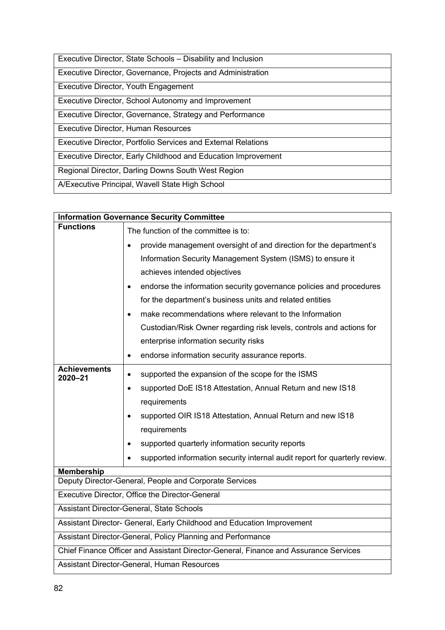| Executive Director, State Schools – Disability and Inclusion         |
|----------------------------------------------------------------------|
| Executive Director, Governance, Projects and Administration          |
| Executive Director, Youth Engagement                                 |
| Executive Director, School Autonomy and Improvement                  |
| Executive Director, Governance, Strategy and Performance             |
| <b>Executive Director, Human Resources</b>                           |
| <b>Executive Director, Portfolio Services and External Relations</b> |
| Executive Director, Early Childhood and Education Improvement        |
| Regional Director, Darling Downs South West Region                   |
| A/Executive Principal, Wavell State High School                      |

| <b>Information Governance Security Committee</b>                                     |                                                                                         |  |
|--------------------------------------------------------------------------------------|-----------------------------------------------------------------------------------------|--|
| <b>Functions</b>                                                                     | The function of the committee is to:                                                    |  |
|                                                                                      | provide management oversight of and direction for the department's<br>$\bullet$         |  |
|                                                                                      | Information Security Management System (ISMS) to ensure it                              |  |
|                                                                                      | achieves intended objectives                                                            |  |
|                                                                                      | endorse the information security governance policies and procedures<br>$\bullet$        |  |
|                                                                                      | for the department's business units and related entities                                |  |
|                                                                                      | make recommendations where relevant to the Information<br>$\bullet$                     |  |
|                                                                                      | Custodian/Risk Owner regarding risk levels, controls and actions for                    |  |
|                                                                                      | enterprise information security risks                                                   |  |
|                                                                                      | endorse information security assurance reports.<br>$\bullet$                            |  |
| <b>Achievements</b><br>2020-21                                                       | supported the expansion of the scope for the ISMS<br>$\bullet$                          |  |
|                                                                                      | supported DoE IS18 Attestation, Annual Return and new IS18<br>$\bullet$                 |  |
|                                                                                      | requirements                                                                            |  |
|                                                                                      | supported OIR IS18 Attestation, Annual Return and new IS18                              |  |
|                                                                                      | requirements                                                                            |  |
|                                                                                      | supported quarterly information security reports<br>$\bullet$                           |  |
|                                                                                      | supported information security internal audit report for quarterly review.<br>$\bullet$ |  |
| <b>Membership</b>                                                                    |                                                                                         |  |
| Deputy Director-General, People and Corporate Services                               |                                                                                         |  |
| Executive Director, Office the Director-General                                      |                                                                                         |  |
| Assistant Director-General, State Schools                                            |                                                                                         |  |
| Assistant Director- General, Early Childhood and Education Improvement               |                                                                                         |  |
| Assistant Director-General, Policy Planning and Performance                          |                                                                                         |  |
| Chief Finance Officer and Assistant Director-General, Finance and Assurance Services |                                                                                         |  |
| Assistant Director-General, Human Resources                                          |                                                                                         |  |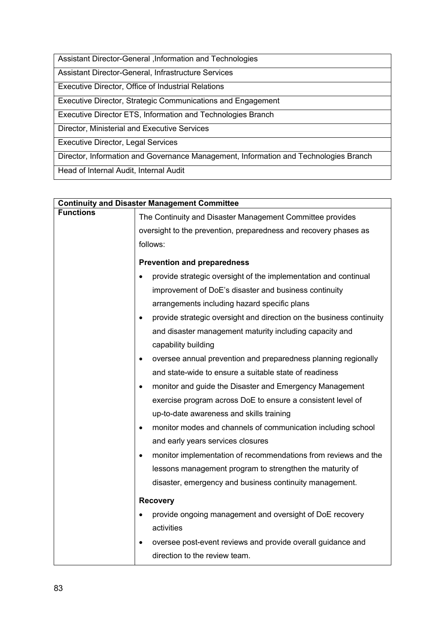Assistant Director-General ,Information and Technologies

Assistant Director-General, Infrastructure Services

Executive Director, Office of Industrial Relations

Executive Director, Strategic Communications and Engagement

Executive Director ETS, Information and Technologies Branch

Director, Ministerial and Executive Services

Executive Director, Legal Services

Director, Information and Governance Management, Information and Technologies Branch

Head of Internal Audit, Internal Audit

| <b>Continuity and Disaster Management Committee</b> |                                                                                              |  |
|-----------------------------------------------------|----------------------------------------------------------------------------------------------|--|
| <b>Functions</b>                                    | The Continuity and Disaster Management Committee provides                                    |  |
|                                                     | oversight to the prevention, preparedness and recovery phases as                             |  |
|                                                     | follows:                                                                                     |  |
|                                                     | <b>Prevention and preparedness</b>                                                           |  |
|                                                     | provide strategic oversight of the implementation and continual                              |  |
|                                                     | improvement of DoE's disaster and business continuity                                        |  |
|                                                     | arrangements including hazard specific plans                                                 |  |
|                                                     | provide strategic oversight and direction on the business continuity<br>$\bullet$            |  |
|                                                     | and disaster management maturity including capacity and                                      |  |
|                                                     | capability building                                                                          |  |
|                                                     | oversee annual prevention and preparedness planning regionally<br>$\bullet$                  |  |
|                                                     | and state-wide to ensure a suitable state of readiness                                       |  |
|                                                     | monitor and guide the Disaster and Emergency Management<br>$\bullet$                         |  |
|                                                     | exercise program across DoE to ensure a consistent level of                                  |  |
|                                                     | up-to-date awareness and skills training                                                     |  |
|                                                     | monitor modes and channels of communication including school<br>$\bullet$                    |  |
|                                                     | and early years services closures                                                            |  |
|                                                     | monitor implementation of recommendations from reviews and the<br>$\bullet$                  |  |
|                                                     | lessons management program to strengthen the maturity of                                     |  |
|                                                     | disaster, emergency and business continuity management.                                      |  |
|                                                     | <b>Recovery</b>                                                                              |  |
|                                                     | provide ongoing management and oversight of DoE recovery                                     |  |
|                                                     | activities                                                                                   |  |
|                                                     | oversee post-event reviews and provide overall guidance and<br>direction to the review team. |  |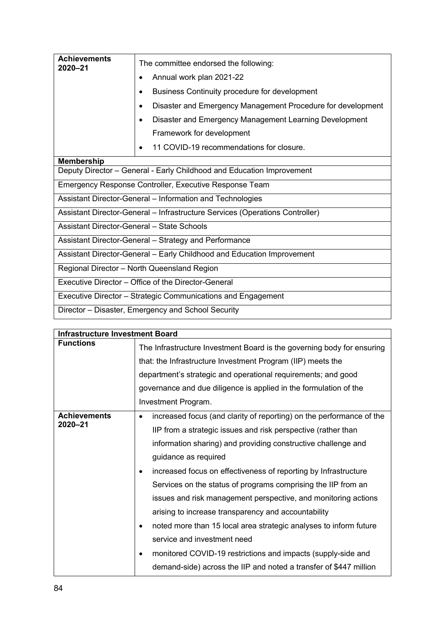| <b>Achievements</b><br>2020-21                        | The committee endorsed the following:                                        |
|-------------------------------------------------------|------------------------------------------------------------------------------|
|                                                       | Annual work plan 2021-22                                                     |
|                                                       | Business Continuity procedure for development                                |
|                                                       | Disaster and Emergency Management Procedure for development<br>٠             |
|                                                       | Disaster and Emergency Management Learning Development                       |
|                                                       | Framework for development                                                    |
|                                                       | 11 COVID-19 recommendations for closure.<br>٠                                |
| <b>Membership</b>                                     |                                                                              |
|                                                       | Deputy Director - General - Early Childhood and Education Improvement        |
|                                                       | Emergency Response Controller, Executive Response Team                       |
|                                                       | Assistant Director-General - Information and Technologies                    |
|                                                       | Assistant Director-General - Infrastructure Services (Operations Controller) |
| Assistant Director-General - State Schools            |                                                                              |
| Assistant Director-General - Strategy and Performance |                                                                              |
|                                                       | Assistant Director-General – Early Childhood and Education Improvement       |
|                                                       | Regional Director - North Queensland Region                                  |
|                                                       | Executive Director – Office of the Director-General                          |
|                                                       | Executive Director - Strategic Communications and Engagement                 |
|                                                       | Director - Disaster, Emergency and School Security                           |

| <b>Infrastructure Investment Board</b> |                                                                                                                                       |  |
|----------------------------------------|---------------------------------------------------------------------------------------------------------------------------------------|--|
| <b>Functions</b>                       | The Infrastructure Investment Board is the governing body for ensuring<br>that: the Infrastructure Investment Program (IIP) meets the |  |
|                                        | department's strategic and operational requirements; and good                                                                         |  |
|                                        | governance and due diligence is applied in the formulation of the                                                                     |  |
|                                        | Investment Program.                                                                                                                   |  |
| <b>Achievements</b><br>2020-21         | increased focus (and clarity of reporting) on the performance of the<br>$\bullet$                                                     |  |
|                                        | IIP from a strategic issues and risk perspective (rather than                                                                         |  |
|                                        | information sharing) and providing constructive challenge and                                                                         |  |
|                                        | guidance as required                                                                                                                  |  |
|                                        | increased focus on effectiveness of reporting by Infrastructure<br>٠                                                                  |  |
|                                        | Services on the status of programs comprising the IIP from an                                                                         |  |
|                                        | issues and risk management perspective, and monitoring actions                                                                        |  |
|                                        | arising to increase transparency and accountability                                                                                   |  |
|                                        | noted more than 15 local area strategic analyses to inform future<br>$\bullet$                                                        |  |
|                                        | service and investment need                                                                                                           |  |
|                                        | monitored COVID-19 restrictions and impacts (supply-side and<br>٠                                                                     |  |
|                                        | demand-side) across the IIP and noted a transfer of \$447 million                                                                     |  |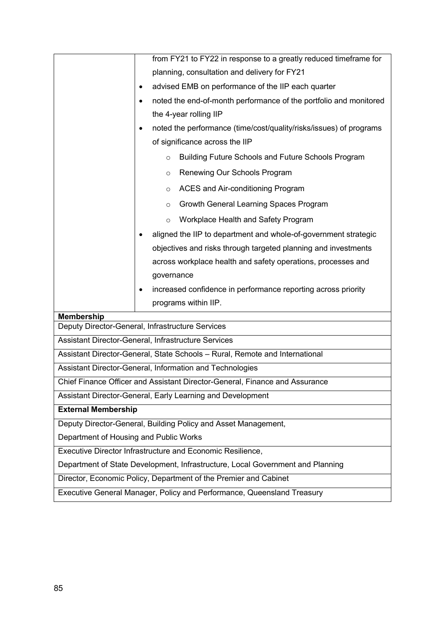|                                                                                | from FY21 to FY22 in response to a greatly reduced timeframe for            |  |
|--------------------------------------------------------------------------------|-----------------------------------------------------------------------------|--|
|                                                                                | planning, consultation and delivery for FY21                                |  |
|                                                                                | advised EMB on performance of the IIP each quarter                          |  |
|                                                                                | noted the end-of-month performance of the portfolio and monitored           |  |
|                                                                                | the 4-year rolling IIP                                                      |  |
|                                                                                | noted the performance (time/cost/quality/risks/issues) of programs<br>٠     |  |
|                                                                                | of significance across the IIP                                              |  |
|                                                                                | Building Future Schools and Future Schools Program<br>$\circ$               |  |
|                                                                                | Renewing Our Schools Program<br>$\circ$                                     |  |
|                                                                                | ACES and Air-conditioning Program<br>$\circ$                                |  |
|                                                                                | Growth General Learning Spaces Program<br>$\circ$                           |  |
|                                                                                | Workplace Health and Safety Program<br>$\circ$                              |  |
|                                                                                | aligned the IIP to department and whole-of-government strategic             |  |
|                                                                                | objectives and risks through targeted planning and investments              |  |
|                                                                                | across workplace health and safety operations, processes and                |  |
|                                                                                | governance                                                                  |  |
|                                                                                | increased confidence in performance reporting across priority<br>٠          |  |
|                                                                                | programs within IIP.                                                        |  |
| <b>Membership</b>                                                              |                                                                             |  |
|                                                                                | Deputy Director-General, Infrastructure Services                            |  |
|                                                                                | Assistant Director-General, Infrastructure Services                         |  |
|                                                                                | Assistant Director-General, State Schools - Rural, Remote and International |  |
|                                                                                | Assistant Director-General, Information and Technologies                    |  |
|                                                                                | Chief Finance Officer and Assistant Director-General, Finance and Assurance |  |
|                                                                                | Assistant Director-General, Early Learning and Development                  |  |
| <b>External Membership</b>                                                     |                                                                             |  |
|                                                                                | Deputy Director-General, Building Policy and Asset Management,              |  |
| Department of Housing and Public Works                                         |                                                                             |  |
|                                                                                | Executive Director Infrastructure and Economic Resilience,                  |  |
| Department of State Development, Infrastructure, Local Government and Planning |                                                                             |  |
|                                                                                | Director, Economic Policy, Department of the Premier and Cabinet            |  |
| Executive General Manager, Policy and Performance, Queensland Treasury         |                                                                             |  |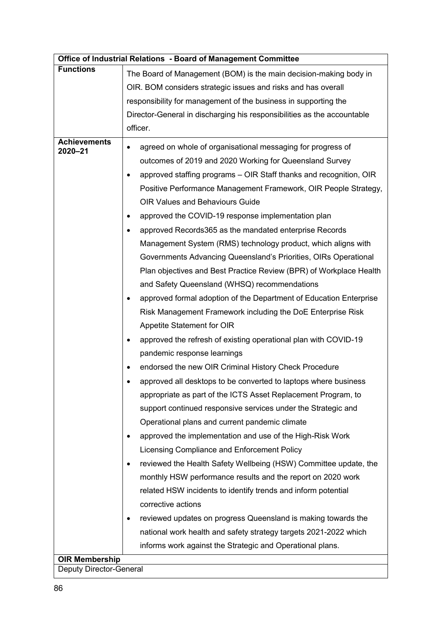|                                | Office of Industrial Relations - Board of Management Committee          |  |  |
|--------------------------------|-------------------------------------------------------------------------|--|--|
| <b>Functions</b>               | The Board of Management (BOM) is the main decision-making body in       |  |  |
|                                | OIR. BOM considers strategic issues and risks and has overall           |  |  |
|                                | responsibility for management of the business in supporting the         |  |  |
|                                | Director-General in discharging his responsibilities as the accountable |  |  |
|                                | officer.                                                                |  |  |
| <b>Achievements</b>            | agreed on whole of organisational messaging for progress of             |  |  |
| 2020-21                        | outcomes of 2019 and 2020 Working for Queensland Survey                 |  |  |
|                                | approved staffing programs – OIR Staff thanks and recognition, OIR      |  |  |
|                                | Positive Performance Management Framework, OIR People Strategy,         |  |  |
|                                | <b>OIR Values and Behaviours Guide</b>                                  |  |  |
|                                | approved the COVID-19 response implementation plan<br>٠                 |  |  |
|                                | approved Records365 as the mandated enterprise Records<br>٠             |  |  |
|                                | Management System (RMS) technology product, which aligns with           |  |  |
|                                | Governments Advancing Queensland's Priorities, OIRs Operational         |  |  |
|                                | Plan objectives and Best Practice Review (BPR) of Workplace Health      |  |  |
|                                | and Safety Queensland (WHSQ) recommendations                            |  |  |
|                                | approved formal adoption of the Department of Education Enterprise      |  |  |
|                                | Risk Management Framework including the DoE Enterprise Risk             |  |  |
|                                | Appetite Statement for OIR                                              |  |  |
|                                | approved the refresh of existing operational plan with COVID-19         |  |  |
|                                | pandemic response learnings                                             |  |  |
|                                | endorsed the new OIR Criminal History Check Procedure<br>٠              |  |  |
|                                | approved all desktops to be converted to laptops where business         |  |  |
|                                | appropriate as part of the ICTS Asset Replacement Program, to           |  |  |
|                                | support continued responsive services under the Strategic and           |  |  |
|                                | Operational plans and current pandemic climate                          |  |  |
|                                | approved the implementation and use of the High-Risk Work<br>٠          |  |  |
|                                | Licensing Compliance and Enforcement Policy                             |  |  |
|                                | reviewed the Health Safety Wellbeing (HSW) Committee update, the<br>٠   |  |  |
|                                | monthly HSW performance results and the report on 2020 work             |  |  |
|                                | related HSW incidents to identify trends and inform potential           |  |  |
|                                | corrective actions                                                      |  |  |
|                                | reviewed updates on progress Queensland is making towards the<br>٠      |  |  |
|                                | national work health and safety strategy targets 2021-2022 which        |  |  |
|                                | informs work against the Strategic and Operational plans.               |  |  |
| <b>OIR Membership</b>          |                                                                         |  |  |
| <b>Deputy Director-General</b> |                                                                         |  |  |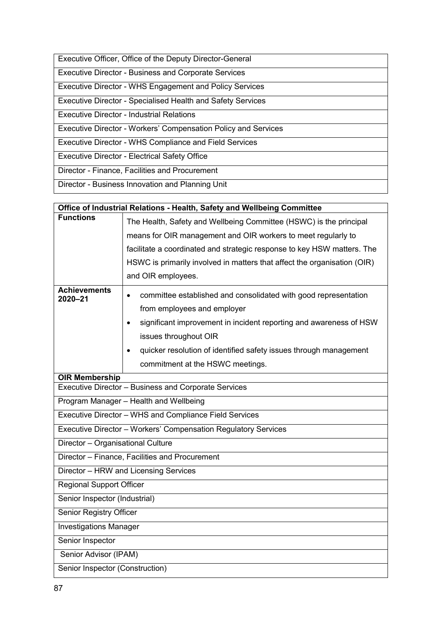| Executive Officer, Office of the Deputy Director-General           |
|--------------------------------------------------------------------|
| <b>Executive Director - Business and Corporate Services</b>        |
| <b>Executive Director - WHS Engagement and Policy Services</b>     |
| <b>Executive Director - Specialised Health and Safety Services</b> |
| Executive Director - Industrial Relations                          |
| Executive Director - Workers' Compensation Policy and Services     |
| <b>Executive Director - WHS Compliance and Field Services</b>      |
| <b>Executive Director - Electrical Safety Office</b>               |
| Director - Finance, Facilities and Procurement                     |
| Director - Business Innovation and Planning Unit                   |

| Office of Industrial Relations - Health, Safety and Wellbeing Committee |                                                                                 |  |
|-------------------------------------------------------------------------|---------------------------------------------------------------------------------|--|
| <b>Functions</b>                                                        | The Health, Safety and Wellbeing Committee (HSWC) is the principal              |  |
|                                                                         | means for OIR management and OIR workers to meet regularly to                   |  |
|                                                                         | facilitate a coordinated and strategic response to key HSW matters. The         |  |
|                                                                         | HSWC is primarily involved in matters that affect the organisation (OIR)        |  |
|                                                                         | and OIR employees.                                                              |  |
| <b>Achievements</b><br>2020-21                                          | committee established and consolidated with good representation<br>$\bullet$    |  |
|                                                                         | from employees and employer                                                     |  |
|                                                                         | significant improvement in incident reporting and awareness of HSW<br>$\bullet$ |  |
|                                                                         | issues throughout OIR                                                           |  |
|                                                                         | quicker resolution of identified safety issues through management<br>$\bullet$  |  |
|                                                                         | commitment at the HSWC meetings.                                                |  |
| <b>OIR Membership</b>                                                   |                                                                                 |  |
|                                                                         | Executive Director - Business and Corporate Services                            |  |
| Program Manager - Health and Wellbeing                                  |                                                                                 |  |
| Executive Director - WHS and Compliance Field Services                  |                                                                                 |  |
| Executive Director - Workers' Compensation Regulatory Services          |                                                                                 |  |
| Director - Organisational Culture                                       |                                                                                 |  |
|                                                                         | Director - Finance, Facilities and Procurement                                  |  |
|                                                                         | Director - HRW and Licensing Services                                           |  |
| <b>Regional Support Officer</b>                                         |                                                                                 |  |
| Senior Inspector (Industrial)                                           |                                                                                 |  |
| Senior Registry Officer                                                 |                                                                                 |  |
| <b>Investigations Manager</b>                                           |                                                                                 |  |
| Senior Inspector                                                        |                                                                                 |  |
| Senior Advisor (IPAM)                                                   |                                                                                 |  |
| Senior Inspector (Construction)                                         |                                                                                 |  |